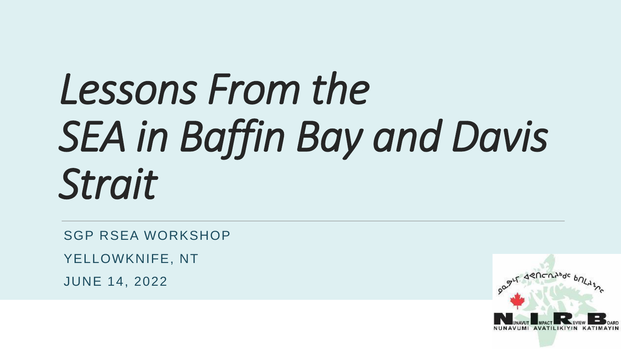# *Lessons From the SEA in Baffin Bay and Davis Strait*

SGP RSEA WORKSHOP

YELLOWKNIFE, NT

JUNE 14, 2022

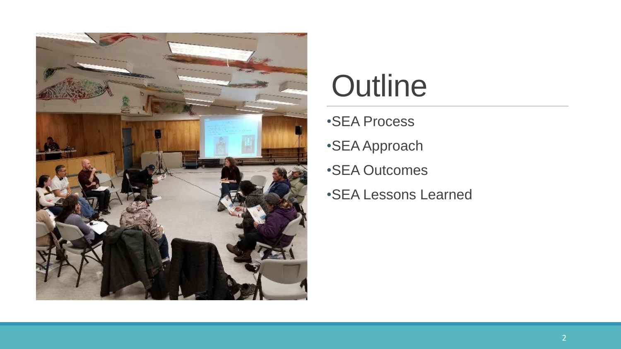

#### **Outline**

- •SEA Process
- •SEA Approach
- •SEA Outcomes
- •SEA Lessons Learned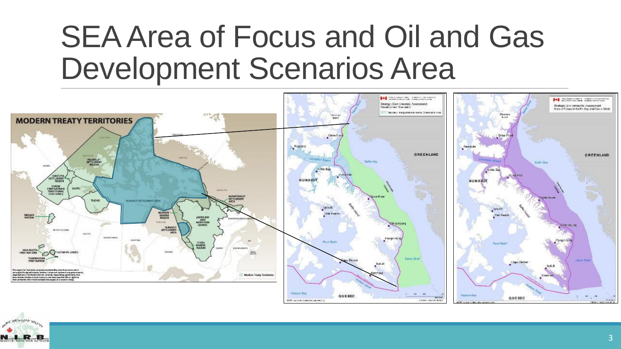#### SEA Area of Focus and Oil and Gas Development Scenarios Area



NOTE: navis for fresholing purposes sing

EINMAG - NASHBORG

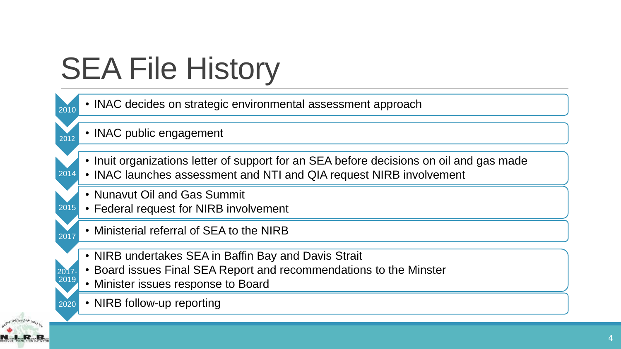# SEA File History

| 2010          | • INAC decides on strategic environmental assessment approach                                                                                                     |
|---------------|-------------------------------------------------------------------------------------------------------------------------------------------------------------------|
| 2012          | • INAC public engagement                                                                                                                                          |
| 2014          | • Inuit organizations letter of support for an SEA before decisions on oil and gas made<br>• INAC launches assessment and NTI and QIA request NIRB involvement    |
| 2015          | • Nunavut Oil and Gas Summit<br>• Federal request for NIRB involvement                                                                                            |
| 2017          | • Ministerial referral of SEA to the NIRB                                                                                                                         |
| 2017-<br>2019 | • NIRB undertakes SEA in Baffin Bay and Davis Strait<br>• Board issues Final SEA Report and recommendations to the Minster<br>• Minister issues response to Board |
| 2020          | • NIRB follow-up reporting                                                                                                                                        |

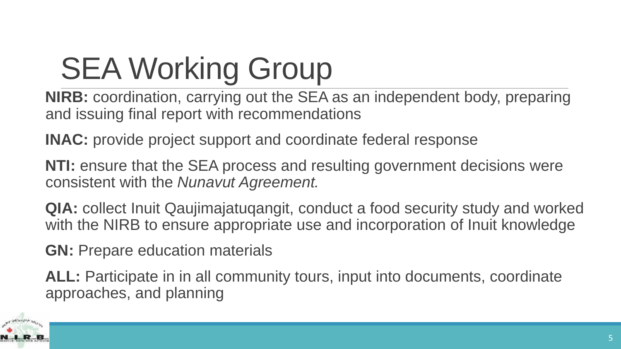# SEA Working Group

**NIRB:** coordination, carrying out the SEA as an independent body, preparing and issuing final report with recommendations

**INAC:** provide project support and coordinate federal response

**NTI:** ensure that the SEA process and resulting government decisions were consistent with the *Nunavut Agreement.*

**QIA:** collect Inuit Qaujimajatuqangit, conduct a food security study and worked with the NIRB to ensure appropriate use and incorporation of Inuit knowledge

**GN:** Prepare education materials

**ALL:** Participate in in all community tours, input into documents, coordinate approaches, and planning

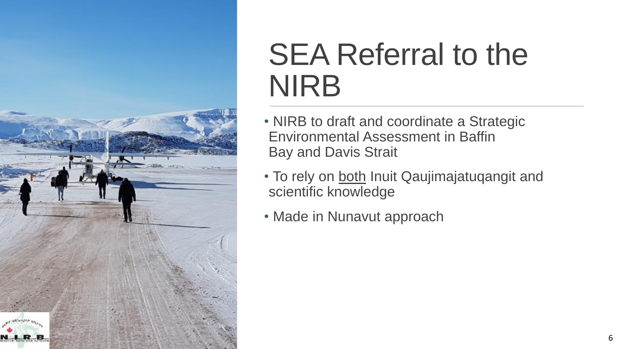

#### SEA Referral to the NIRB

- NIRB to draft and coordinate a Strategic Environmental Assessment in Baffin Bay and Davis Strait
- To rely on both Inuit Qaujimajatuqangit and scientific knowledge
- Made in Nunavut approach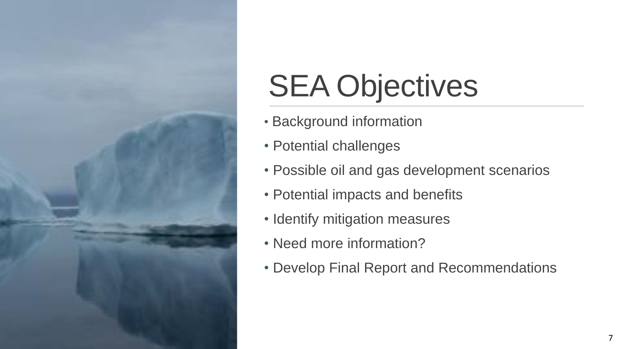

# SEA Objectives

- Background information
- Potential challenges
- Possible oil and gas development scenarios
- Potential impacts and benefits
- Identify mitigation measures
- Need more information?
- Develop Final Report and Recommendations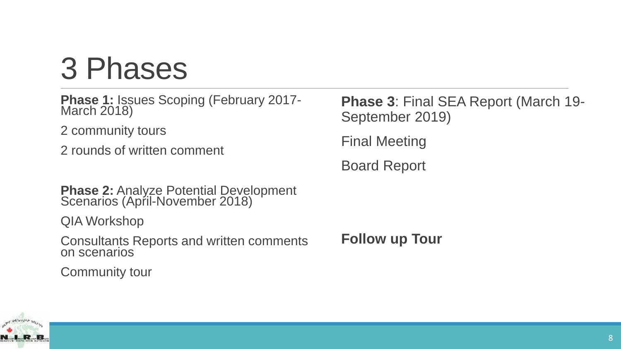## 3 Phases

**Phase 1:** Issues Scoping (February 2017- March 2018)

2 community tours

2 rounds of written comment

**Phase 2: Analyze Potential Development** Scenarios (April-November 2018)

QIA Workshop

Consultants Reports and written comments on scenarios

Community tour

**Phase 3**: Final SEA Report (March 19- September 2019)

Final Meeting

Board Report

**Follow up Tour**

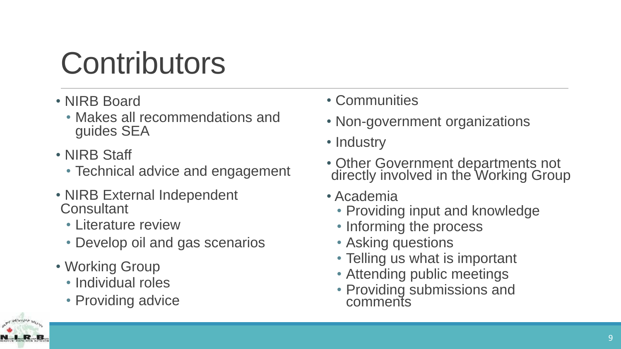# **Contributors**

- NIRB Board
	- Makes all recommendations and guides SEA
- NIRB Staff
	- Technical advice and engagement
- NIRB External Independent **Consultant** 
	- Literature review
	- Develop oil and gas scenarios
- Working Group
	- Individual roles
	- Providing advice



- Non-government organizations
- Industry
- Other Government departments not directly involved in the Working Group
- Academia
	- Providing input and knowledge
	- Informing the process
	- Asking questions
	- Telling us what is important
	- Attending public meetings
	- Providing submissions and comments

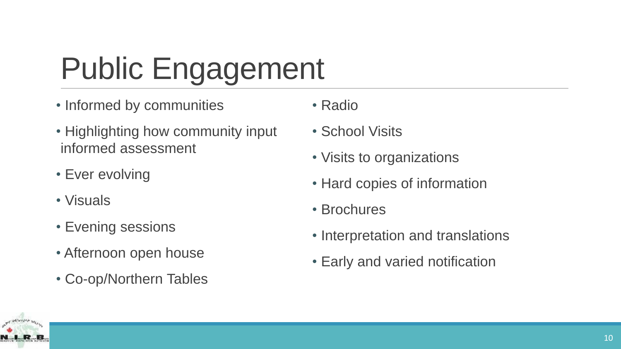# Public Engagement

- Informed by communities
- Highlighting how community input informed assessment
- Ever evolving
- Visuals
- Evening sessions
- Afternoon open house
- Co-op/Northern Tables
- Radio
- School Visits
- Visits to organizations
- Hard copies of information
- Brochures
- Interpretation and translations
- Early and varied notification

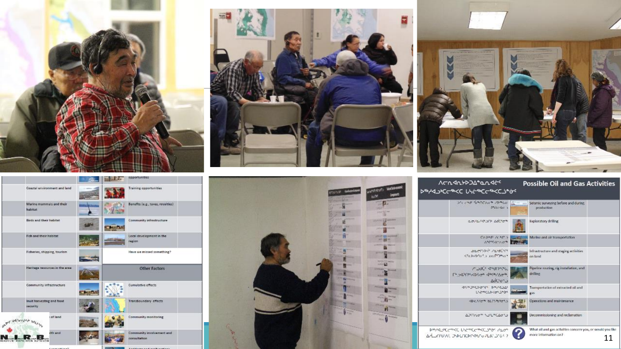









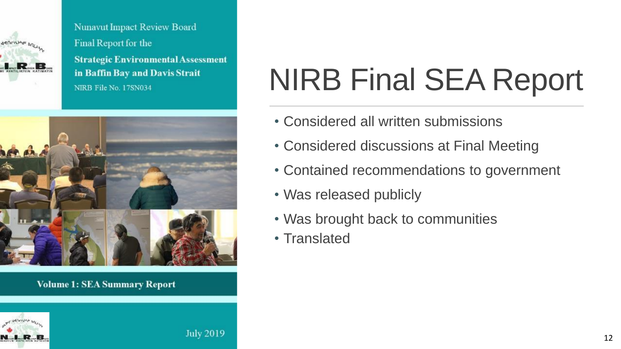

**Nunavut Impact Review Board** Final Report for the **Strategic Environmental Assessment** in Baffin Bay and Davis Strait NIRB File No. 17SN034



#### **Volume 1: SEA Summary Report**





# NIRB Final SEA Report

- Considered all written submissions
- Considered discussions at Final Meeting
- Contained recommendations to government
- Was released publicly
- Was brought back to communities
- Translated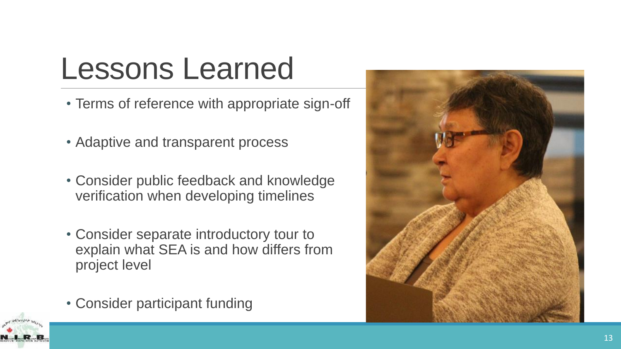## Lessons Learned

- Terms of reference with appropriate sign-off
- Adaptive and transparent process
- Consider public feedback and knowledge verification when developing timelines
- Consider separate introductory tour to explain what SEA is and how differs from project level
- Consider participant funding



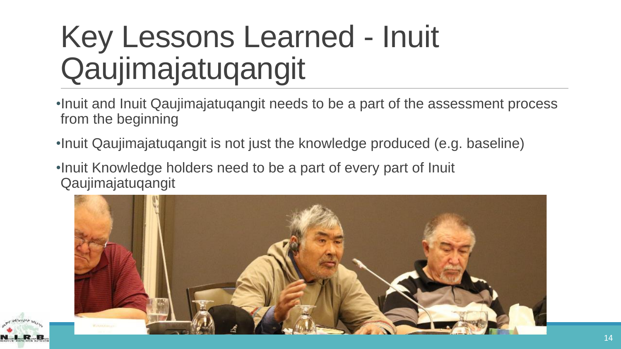# Key Lessons Learned - Inuit Qaujimajatuqangit

- •Inuit and Inuit Qaujimajatuqangit needs to be a part of the assessment process from the beginning
- •Inuit Qaujimajatuqangit is not just the knowledge produced (e.g. baseline)
- •Inuit Knowledge holders need to be a part of every part of Inuit Qaujimajatuqangit



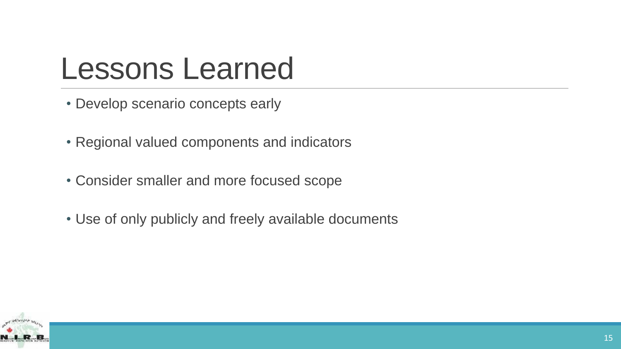#### Lessons Learned

- Develop scenario concepts early
- Regional valued components and indicators
- Consider smaller and more focused scope
- Use of only publicly and freely available documents

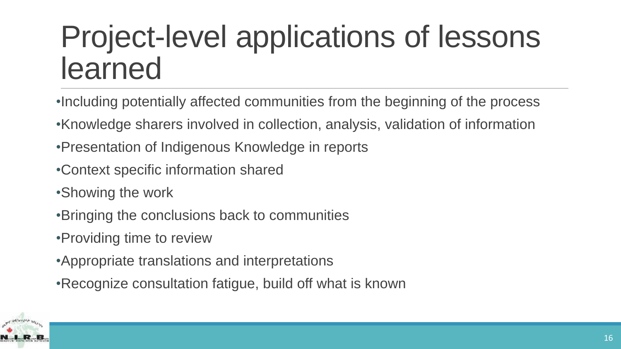## Project-level applications of lessons learned

- •Including potentially affected communities from the beginning of the process
- •Knowledge sharers involved in collection, analysis, validation of information
- •Presentation of Indigenous Knowledge in reports
- •Context specific information shared
- •Showing the work
- •Bringing the conclusions back to communities
- •Providing time to review
- •Appropriate translations and interpretations
- •Recognize consultation fatigue, build off what is known